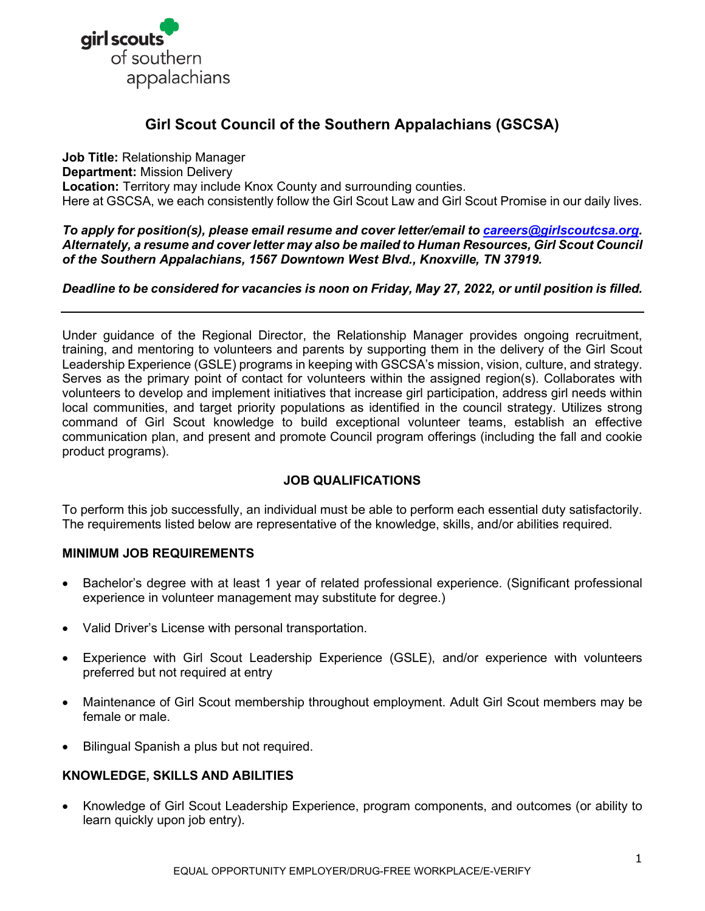

# **Girl Scout Council of the Southern Appalachians (GSCSA)**

**Job Title:** Relationship Manager **Department:** Mission Delivery **Location:** Territory may include Knox County and surrounding counties. Here at GSCSA, we each consistently follow the Girl Scout Law and Girl Scout Promise in our daily lives.

*To apply for position(s), please email resume and cover letter/email to [careers@girlscoutcsa.org.](mailto:careers@girlscoutcsa.org) Alternately, a resume and cover letter may also be mailed to Human Resources, Girl Scout Council of the Southern Appalachians, 1567 Downtown West Blvd., Knoxville, TN 37919.* 

# *Deadline to be considered for vacancies is noon on Friday, May 27, 2022, or until position is filled.*

Under guidance of the Regional Director, the Relationship Manager provides ongoing recruitment, training, and mentoring to volunteers and parents by supporting them in the delivery of the Girl Scout Leadership Experience (GSLE) programs in keeping with GSCSA's mission, vision, culture, and strategy. Serves as the primary point of contact for volunteers within the assigned region(s). Collaborates with volunteers to develop and implement initiatives that increase girl participation, address girl needs within local communities, and target priority populations as identified in the council strategy. Utilizes strong command of Girl Scout knowledge to build exceptional volunteer teams, establish an effective communication plan, and present and promote Council program offerings (including the fall and cookie product programs).

# **JOB QUALIFICATIONS**

To perform this job successfully, an individual must be able to perform each essential duty satisfactorily. The requirements listed below are representative of the knowledge, skills, and/or abilities required.

# **MINIMUM JOB REQUIREMENTS**

- Bachelor's degree with at least 1 year of related professional experience. (Significant professional experience in volunteer management may substitute for degree.)
- Valid Driver's License with personal transportation.
- Experience with Girl Scout Leadership Experience (GSLE), and/or experience with volunteers preferred but not required at entry
- Maintenance of Girl Scout membership throughout employment. Adult Girl Scout members may be female or male.
- Bilingual Spanish a plus but not required.

# **KNOWLEDGE, SKILLS AND ABILITIES**

• Knowledge of Girl Scout Leadership Experience, program components, and outcomes (or ability to learn quickly upon job entry).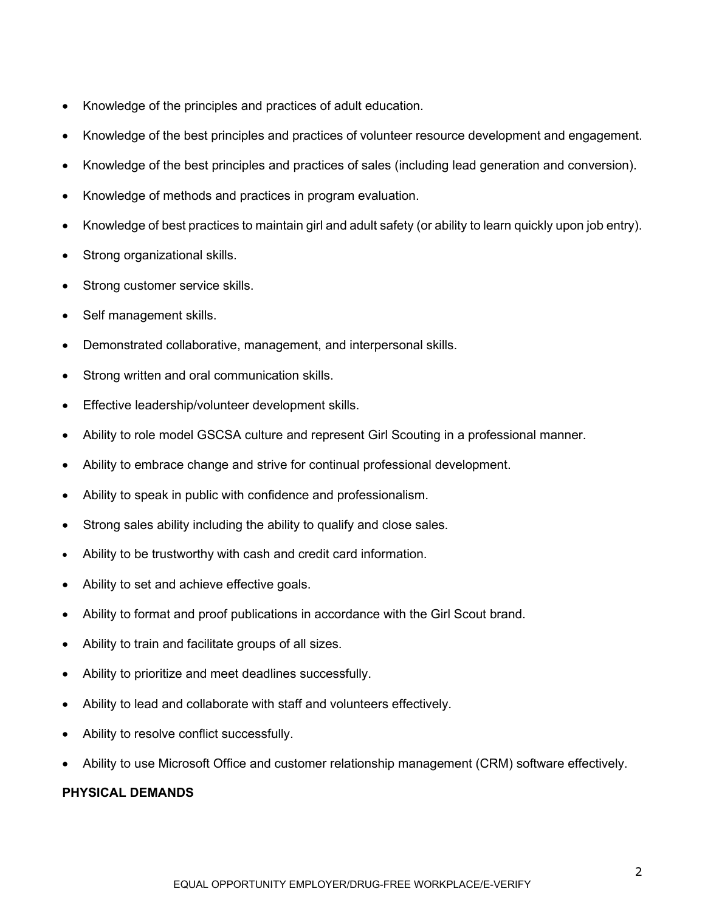- Knowledge of the principles and practices of adult education.
- Knowledge of the best principles and practices of volunteer resource development and engagement.
- Knowledge of the best principles and practices of sales (including lead generation and conversion).
- Knowledge of methods and practices in program evaluation.
- Knowledge of best practices to maintain girl and adult safety (or ability to learn quickly upon job entry).
- Strong organizational skills.
- Strong customer service skills.
- Self management skills.
- Demonstrated collaborative, management, and interpersonal skills.
- Strong written and oral communication skills.
- Effective leadership/volunteer development skills.
- Ability to role model GSCSA culture and represent Girl Scouting in a professional manner.
- Ability to embrace change and strive for continual professional development.
- Ability to speak in public with confidence and professionalism.
- Strong sales ability including the ability to qualify and close sales.
- Ability to be trustworthy with cash and credit card information.
- Ability to set and achieve effective goals.
- Ability to format and proof publications in accordance with the Girl Scout brand.
- Ability to train and facilitate groups of all sizes.
- Ability to prioritize and meet deadlines successfully.
- Ability to lead and collaborate with staff and volunteers effectively.
- Ability to resolve conflict successfully.
- Ability to use Microsoft Office and customer relationship management (CRM) software effectively.

# **PHYSICAL DEMANDS**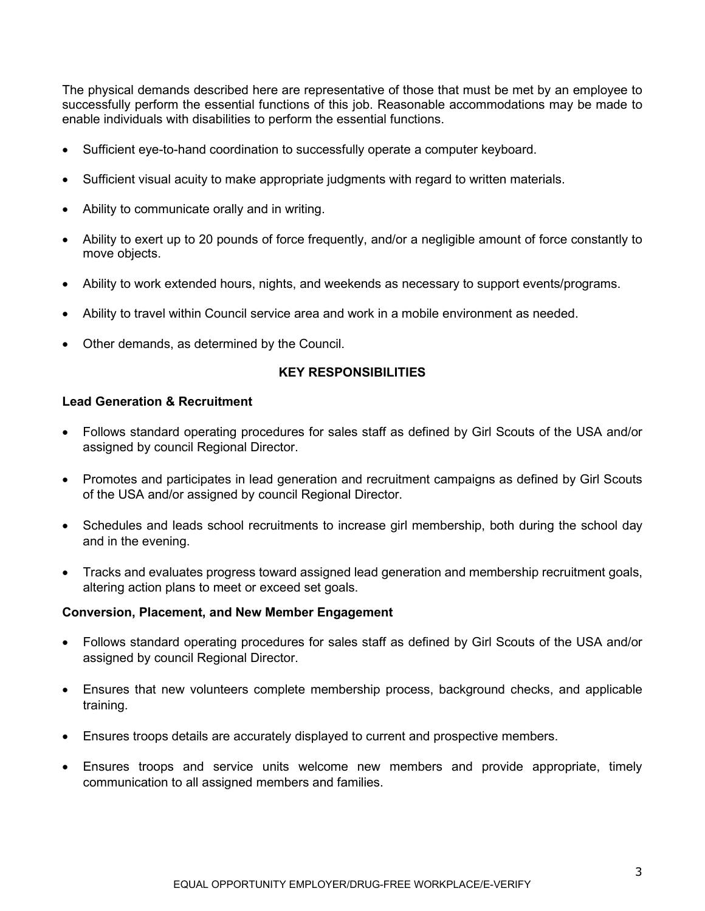The physical demands described here are representative of those that must be met by an employee to successfully perform the essential functions of this job. Reasonable accommodations may be made to enable individuals with disabilities to perform the essential functions.

- Sufficient eye-to-hand coordination to successfully operate a computer keyboard.
- Sufficient visual acuity to make appropriate judgments with regard to written materials.
- Ability to communicate orally and in writing.
- Ability to exert up to 20 pounds of force frequently, and/or a negligible amount of force constantly to move objects.
- Ability to work extended hours, nights, and weekends as necessary to support events/programs.
- Ability to travel within Council service area and work in a mobile environment as needed.
- Other demands, as determined by the Council.

## **KEY RESPONSIBILITIES**

### **Lead Generation & Recruitment**

- Follows standard operating procedures for sales staff as defined by Girl Scouts of the USA and/or assigned by council Regional Director.
- Promotes and participates in lead generation and recruitment campaigns as defined by Girl Scouts of the USA and/or assigned by council Regional Director.
- Schedules and leads school recruitments to increase girl membership, both during the school day and in the evening.
- Tracks and evaluates progress toward assigned lead generation and membership recruitment goals, altering action plans to meet or exceed set goals.

### **Conversion, Placement, and New Member Engagement**

- Follows standard operating procedures for sales staff as defined by Girl Scouts of the USA and/or assigned by council Regional Director.
- Ensures that new volunteers complete membership process, background checks, and applicable training.
- Ensures troops details are accurately displayed to current and prospective members.
- Ensures troops and service units welcome new members and provide appropriate, timely communication to all assigned members and families.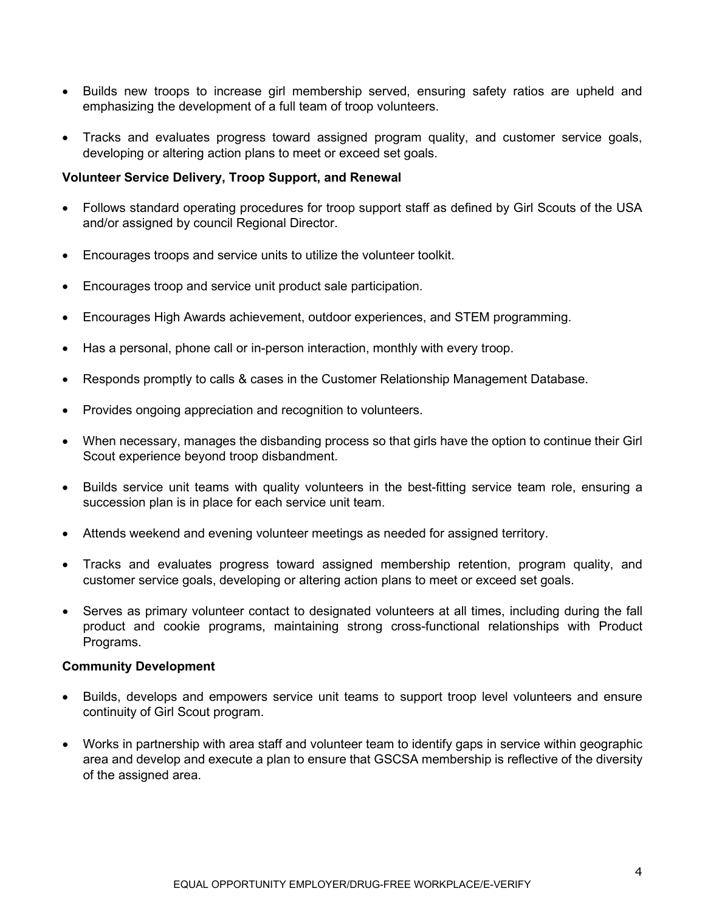- Builds new troops to increase girl membership served, ensuring safety ratios are upheld and emphasizing the development of a full team of troop volunteers.
- Tracks and evaluates progress toward assigned program quality, and customer service goals, developing or altering action plans to meet or exceed set goals.

# **Volunteer Service Delivery, Troop Support, and Renewal**

- Follows standard operating procedures for troop support staff as defined by Girl Scouts of the USA and/or assigned by council Regional Director.
- Encourages troops and service units to utilize the volunteer toolkit.
- Encourages troop and service unit product sale participation.
- Encourages High Awards achievement, outdoor experiences, and STEM programming.
- Has a personal, phone call or in-person interaction, monthly with every troop.
- Responds promptly to calls & cases in the Customer Relationship Management Database.
- Provides ongoing appreciation and recognition to volunteers.
- When necessary, manages the disbanding process so that girls have the option to continue their Girl Scout experience beyond troop disbandment.
- Builds service unit teams with quality volunteers in the best-fitting service team role, ensuring a succession plan is in place for each service unit team.
- Attends weekend and evening volunteer meetings as needed for assigned territory.
- Tracks and evaluates progress toward assigned membership retention, program quality, and customer service goals, developing or altering action plans to meet or exceed set goals.
- Serves as primary volunteer contact to designated volunteers at all times, including during the fall product and cookie programs, maintaining strong cross-functional relationships with Product Programs.

### **Community Development**

- Builds, develops and empowers service unit teams to support troop level volunteers and ensure continuity of Girl Scout program.
- Works in partnership with area staff and volunteer team to identify gaps in service within geographic area and develop and execute a plan to ensure that GSCSA membership is reflective of the diversity of the assigned area.